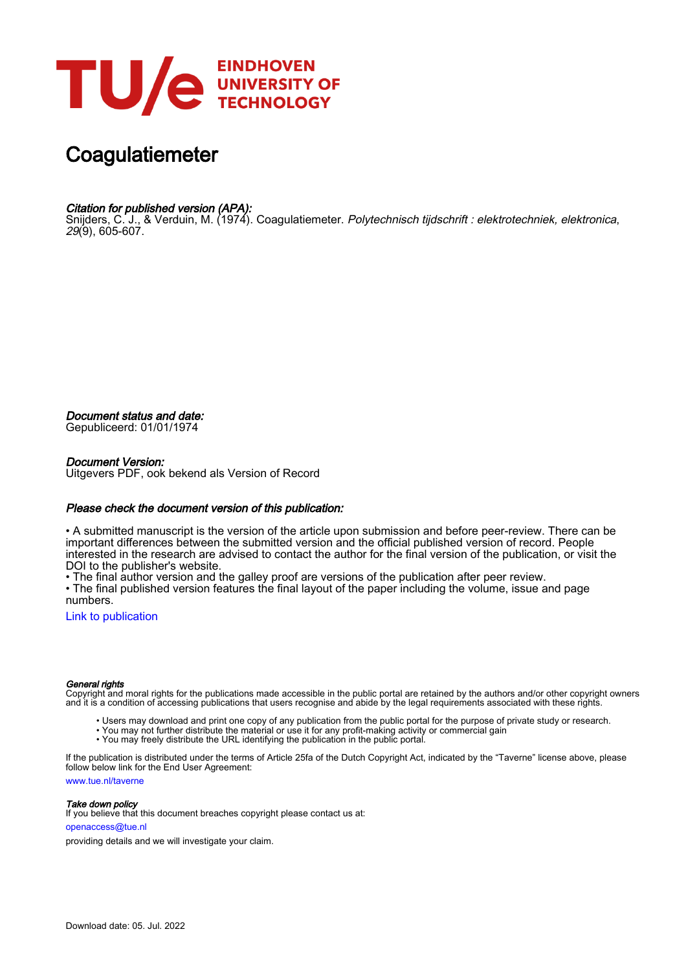

# **Coagulatiemeter**

# Citation for published version (APA):

Snijders, C. J., & Verduin, M. (1974). Coagulatiemeter. *Polytechnisch tijdschrift : elektrotechniek, elektronica*, 29(9), 605-607.

Document status and date:

Gepubliceerd: 01/01/1974

### Document Version:

Uitgevers PDF, ook bekend als Version of Record

## Please check the document version of this publication:

• A submitted manuscript is the version of the article upon submission and before peer-review. There can be important differences between the submitted version and the official published version of record. People interested in the research are advised to contact the author for the final version of the publication, or visit the DOI to the publisher's website.

• The final author version and the galley proof are versions of the publication after peer review.

• The final published version features the final layout of the paper including the volume, issue and page numbers.

[Link to publication](https://research.tue.nl/nl/publications/cd85cf54-b68d-4e47-b967-b1e701544c18)

#### General rights

Copyright and moral rights for the publications made accessible in the public portal are retained by the authors and/or other copyright owners and it is a condition of accessing publications that users recognise and abide by the legal requirements associated with these rights.

- Users may download and print one copy of any publication from the public portal for the purpose of private study or research.
- You may not further distribute the material or use it for any profit-making activity or commercial gain
- You may freely distribute the URL identifying the publication in the public portal.

If the publication is distributed under the terms of Article 25fa of the Dutch Copyright Act, indicated by the "Taverne" license above, please follow below link for the End User Agreement:

www.tue.nl/taverne

**Take down policy**<br>If you believe that this document breaches copyright please contact us at:

openaccess@tue.nl

providing details and we will investigate your claim.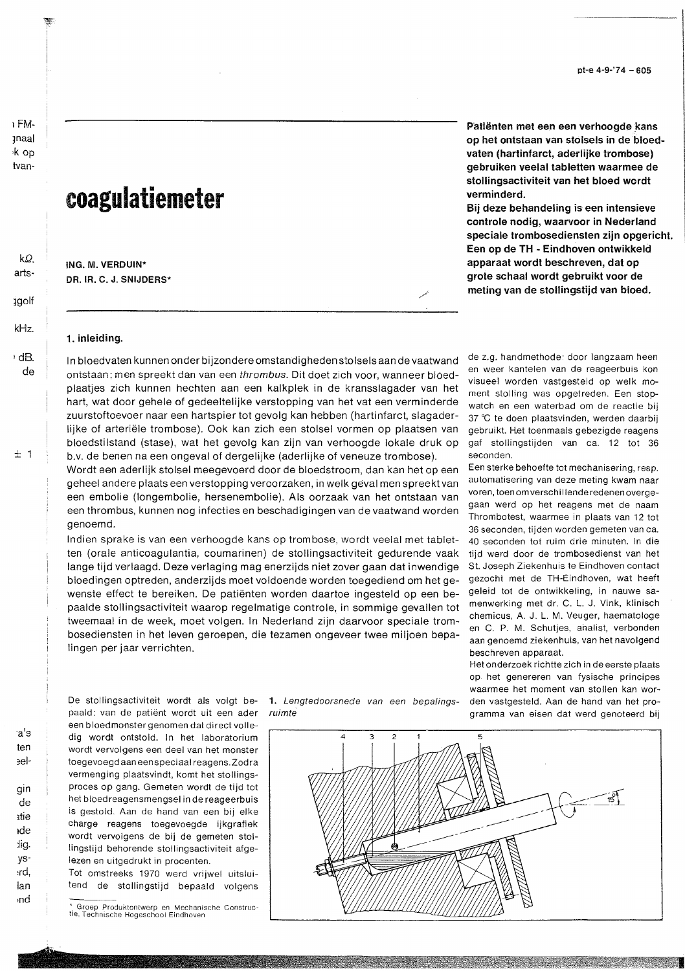# coagulatiemeter

ING. M. VERDUIN\* DR. IR. C. J. SNIJDERS\* Patiënten met een een verhoogde kans op het ontstaan van stolsels in de bloedvaten (hartinfarct, aderlijke trombose) gebruiken veelal tabletten waarmee de stollingsactiviteit van het bloed wordt verminderd.

Bij deze behandeling is een intensieve controle nodig, waarvoor in Nederland speciale trombosediensten zijn opgericht. Een op de TH - Eindhoven ontwikkeld apparaat wordt beschreven, dat op grote schaal wordt gebruikt voor de meting van de stollingstijd van bloed.

### 1. inleiding.

In bloedvaten kunnen onder bijzondere omstandigheden stolsels aan de vaatwand ontstaan; men spreekt dan van een thrombus. Dit doet zich voor, wanneer bloedplaatjes zich kunnen hechten aan een kalkplek in de kransslagader van het hart, wat door gehele of gedeeltelijke verstopping van het vat een verminderde zuurstoftoevoer naar een hartspier tot gevolg kan hebben (hartinfarct, slagaderlijke of arteriële trombose). Ook kan zich een stolsel vormen op plaatsen van bloedstilstand (stase), wat het gevolg kan zijn van verhoogde lokale druk op b.v. de benen na een ongeval of dergelijke (aderlijke of veneuze trombose).

Wordt een aderlijk stolsel meegevoerd door de bloedstroom, dan kan het op een geheel andere plaats een verstopping veroorzaken, in welk geval men spreekt van een embolie (longembolie, hersenembolie). Als oorzaak van het ontstaan van een thrombus, kunnen nog infecties en beschadigingen van de vaatwand worden genoemd.

Indien sprake is van een verhoogde kans op trombose, wordt veelal met tabletten (orale anticoagulantia, coumarinen) de stollingsactiviteit gedurende vaak lange tijd verlaagd. Deze verlaging mag enerzijds niet zover gaan dat inwendige bloedingen optreden, anderzijds moet voldoende worden toegediend om het gewenste effect te bereiken. De patiënten worden daartoe ingesteld op een bepaalde stollingsactiviteit waarop regelmatige controle, in sommige gevallen tot tweemaal in de week, moet volgen. In Nederland zijn daarvoor speciale trombosediensten in het leven geroepen, die tezamen ongeveer twee miljoen bepalingen per jaar verrichten.

de z.g. handmethode: door langzaam heen en weer kantelen van de reageerbuis kon visueel worden vastgesteld op welk moment stolling was opgetreden. Een stopwatch en een waterbad om de reactie bij 37 °C te doen plaatsvinden, werden daarbij gebruikt. Het toenmaals gebezigde reagens gaf stollingstijden van ca. 12 tot 36 seconden.

Een sterke behoefte tot mechanisering, resp. automatisering van deze meting kwam naar voren, toen om verschillende redenen overgegaan werd op het reagens met de naam Thrombotest, waarmee in plaats van 12 tot 36 seconden, tijden worden gemeten van ca. 40 seconden tot ruim drie minuten. In die tijd werd door de trombosedienst van het St. Joseph Ziekenhuis te Eindhoven contact gezocht met de TH-Eindhoven, wat heeft geleid tot de ontwikkeling, in nauwe samenwerking met dr. C. L. J. Vink, klinisch chemicus, A. J. L. M. Veuger, haematologe en C. P. M. Schutjes, analist, verbonden aan genoemd ziekenhuis, van het navolgend beschreven apparaat.

Het onderzoek richtte zich in de eerste plaats op het genereren van fysische principes waarmee het moment van stollen kan worden vastgesteld. Aan de hand van het programma van eisen dat werd genoteerd bij

De stollingsactiviteit wordt als volgt bepaald: van de patiënt wordt uit een ader een bloedmonster genomen dat direct volledig wordt ontstold. In het laboratorium wordt vervolgens een deel van het monster toegevoegd aan een speciaal reagens. Zodra vermenging plaatsvindt, komt het stollingsproces op gang. Gemeten wordt de tijd tot het bloedreagensmengsel in de reageerbuis is gestold. Aan de hand van een bij elke charge reagens toegevoegde ijkgrafiek wordt vervolgens de bij de gemeten stollingstijd behorende stollingsactiviteit afgelezen en uitgedrukt in procenten.

Tot omstreeks 1970 werd vrijwel uitsluitend de stollingstijd bepaald volgens

1. Lengtedoorsnede van een bepalingsruimte



Groep Produktontwerp en Mechanische Constructie, Technische Hogeschool Eindhoven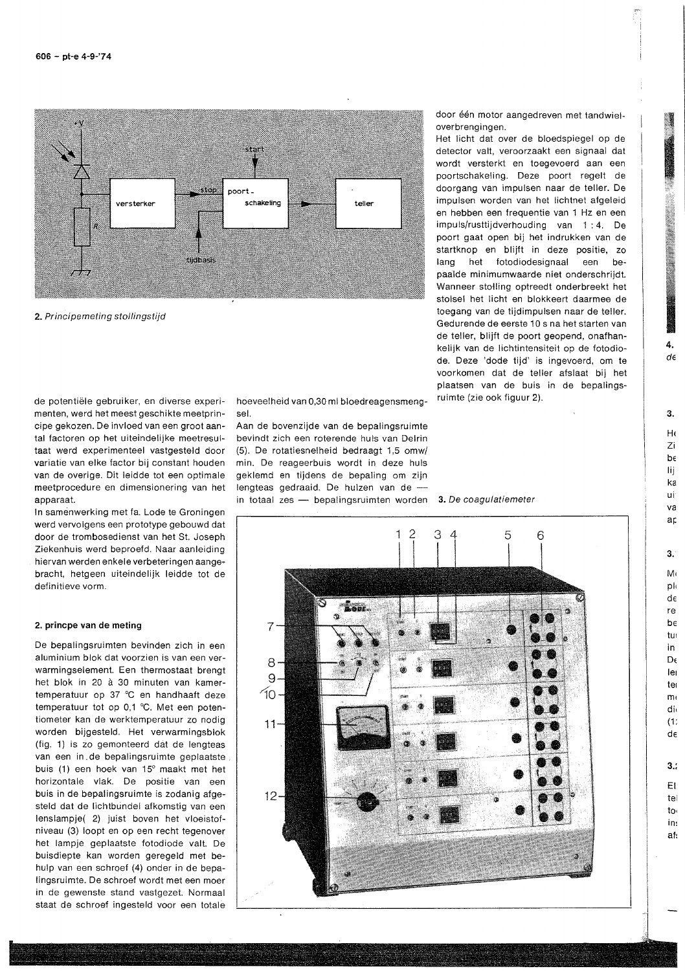

2. Principemeting stollingstijd

de potentiële gebruiker, en diverse experimenten, werd het meest geschikte meetprincipe gekozen. De invloed van een groot aantal factoren op het uiteindelijke meetresultaat werd experimenteel vastgesteld door variatie van elke factor bij constant houden van de overige. Dit leidde tot een optimale meetprocedure en dimensionering van het apparaat.

In samenwerking met fa. Lode te Groningen werd vervolgens een prototype gebouwd dat door de trombosedienst van het St. Joseph Ziekenhuis werd beproefd. Naar aanleiding hiervan werden enkele verbeteringen aangebracht, hetgeen uiteindelijk leidde tot de definitieve vorm.

#### 2. princpe van de meting

De bepalingsruimten bevinden zich in een aluminium blok dat voorzien is van een verwarmingselement. Een thermostaat brengt het blok in 20 à 30 minuten van kamertemperatuur op 37 °C en handhaaft deze temperatuur tot op 0,1 °C. Met een potentiometer kan de werktemperatuur zo nodig worden bijgesteld. Het verwarmingsblok (fig. 1) is zo gemonteerd dat de lengteas van een in de bepalingsruimte geplaatste buis (1) een hoek van 15° maakt met het horizontale vlak. De positie van een buis in de bepalingsruimte is zodanig afgesteld dat de lichtbundel afkomstig van een lenslampje(2) juist boven het vloeistofniveau (3) loopt en op een recht tegenover het lampje geplaatste fotodiode valt. De buisdiepte kan worden geregeld met behulp van een schroef (4) onder in de bepalingsruimte. De schroef wordt met een moer in de gewenste stand vastgezet. Normaal staat de schroef ingesteld voor een totale

hoeveelheid van 0,30 ml bloedreagensmengsel.

Aan de bovenzijde van de bepalingsruimte bevindt zich een roterende huls van Delrin (5). De rotatiesnelheid bedraagt 1,5 omw/ min. De reageerbuis wordt in deze huls geklemd en tijdens de bepaling om zijn lengteas gedraaid. De hulzen van de in totaal zes - bepalingsruimten worden

door één motor aangedreven met tandwieloverbrengingen

Het licht dat over de bloedspiegel op de detector valt, veroorzaakt een signaal dat wordt versterkt en toegevoerd aan een poortschakeling. Deze poort regelt de doorgang van impulsen naar de teller. De impulsen worden van het lichtnet afgeleid en hebben een frequentie van 1 Hz en een impuls/rusttijdverhouding van 1:4. De poort gaat open bij het indrukken van de startknop en blijft in deze positie, zo lang het fotodiodesignaal een hepaalde minimumwaarde niet onderschriidt. Wanneer stolling optreedt onderbreekt het stolsel het licht en blokkeert daarmee de toegang van de tijdimpulsen naar de teller. Gedurende de eerste 10 s na het starten van de teller, blijft de poort geopend, onafhankelijk van de lichtintensiteit op de fotodiode. Deze 'dode tijd' is ingevoerd, om te voorkomen dat de teller afslaat bij het plaatsen van de buis in de bepalingsruimte (zie ook figuur 2).

3. De coagulatiemeter